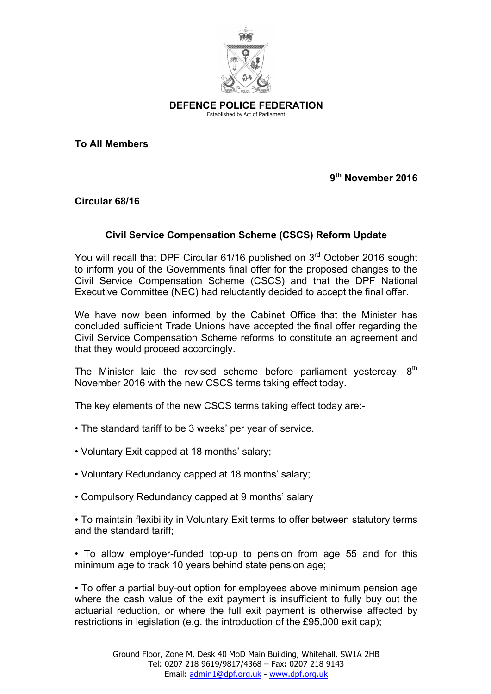

**DEFENCE POLICE FEDERATION** Established by Act of Parliament

**To All Members**

**9th November 2016**

**Circular 68/16**

## **Civil Service Compensation Scheme (CSCS) Reform Update**

You will recall that DPF Circular 61/16 published on 3<sup>rd</sup> October 2016 sought to inform you of the Governments final offer for the proposed changes to the Civil Service Compensation Scheme (CSCS) and that the DPF National Executive Committee (NEC) had reluctantly decided to accept the final offer.

We have now been informed by the Cabinet Office that the Minister has concluded sufficient Trade Unions have accepted the final offer regarding the Civil Service Compensation Scheme reforms to constitute an agreement and that they would proceed accordingly.

The Minister laid the revised scheme before parliament vesterday.  $8<sup>th</sup>$ November 2016 with the new CSCS terms taking effect today.

The key elements of the new CSCS terms taking effect today are:-

- The standard tariff to be 3 weeks' per year of service.
- Voluntary Exit capped at 18 months' salary;
- Voluntary Redundancy capped at 18 months' salary;
- Compulsory Redundancy capped at 9 months' salary

• To maintain flexibility in Voluntary Exit terms to offer between statutory terms and the standard tariff;

• To allow employer-funded top-up to pension from age 55 and for this minimum age to track 10 years behind state pension age;

• To offer a partial buy-out option for employees above minimum pension age where the cash value of the exit payment is insufficient to fully buy out the actuarial reduction, or where the full exit payment is otherwise affected by restrictions in legislation (e.g. the introduction of the £95,000 exit cap);